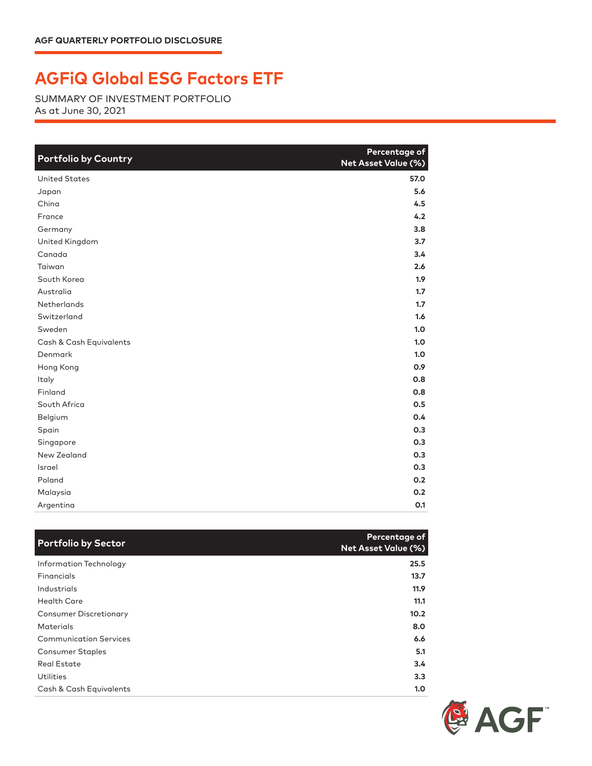## **AGFiQ Global ESG Factors ETF**

SUMMARY OF INVESTMENT PORTFOLIO As at June 30, 2021

| <b>Portfolio by Country</b> | Percentage of<br><b>Net Asset Value (%)</b> |
|-----------------------------|---------------------------------------------|
| <b>United States</b>        | 57.0                                        |
| Japan                       | 5.6                                         |
| China                       | 4.5                                         |
| France                      | 4.2                                         |
| Germany                     | 3.8                                         |
| United Kingdom              | 3.7                                         |
| Canada                      | 3.4                                         |
| Taiwan                      | 2.6                                         |
| South Korea                 | 1.9 <sup>2</sup>                            |
| Australia                   | 1.7                                         |
| Netherlands                 | 1.7                                         |
| Switzerland                 | 1.6                                         |
| Sweden                      | 1.0                                         |
| Cash & Cash Equivalents     | 1.0                                         |
| Denmark                     | 1.0                                         |
| Hong Kong                   | 0.9                                         |
| Italy                       | 0.8                                         |
| Finland                     | 0.8                                         |
| South Africa                | 0.5                                         |
| Belgium                     | 0.4                                         |
| Spain                       | 0.3                                         |
| Singapore                   | 0.3                                         |
| New Zealand                 | 0.3                                         |
| Israel                      | 0.3                                         |
| Poland                      | 0.2                                         |
| Malaysia                    | 0.2                                         |
| Argentina                   | O.1                                         |

| <b>Portfolio by Sector</b>    | Percentage of<br><b>Net Asset Value (%)</b> |
|-------------------------------|---------------------------------------------|
| Information Technology        | 25.5                                        |
| Financials                    | 13.7                                        |
| Industrials                   | 11.9                                        |
| <b>Health Care</b>            | 11.1                                        |
| <b>Consumer Discretionary</b> | 10.2 <sub>1</sub>                           |
| <b>Materials</b>              | 8.0                                         |
| <b>Communication Services</b> | 6.6                                         |
| <b>Consumer Staples</b>       | 5.1                                         |
| <b>Real Estate</b>            | 3.4                                         |
| <b>Utilities</b>              | 3.3 <sub>2</sub>                            |
| Cash & Cash Equivalents       | 1.0                                         |